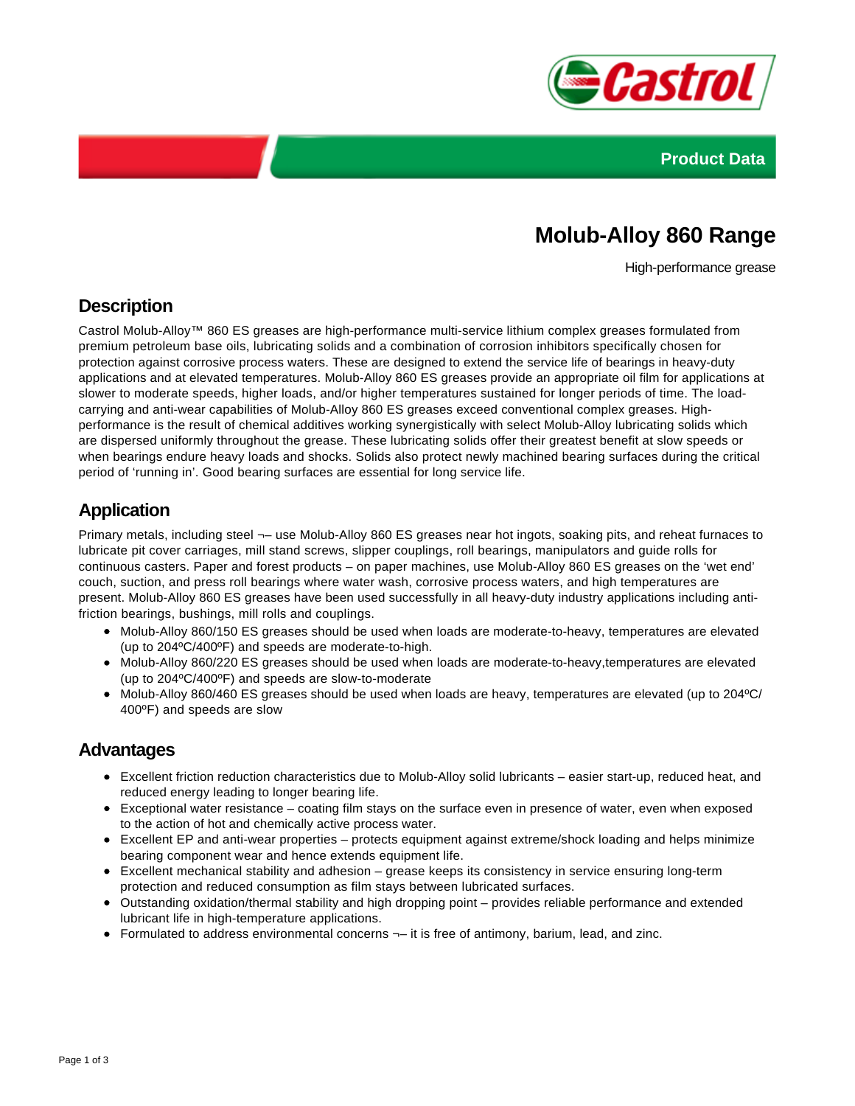



# **Molub-Alloy 860 Range**

High-performance grease

### **Description**

Castrol Molub-Alloy™ 860 ES greases are high-performance multi-service lithium complex greases formulated from premium petroleum base oils, lubricating solids and a combination of corrosion inhibitors specifically chosen for protection against corrosive process waters. These are designed to extend the service life of bearings in heavy-duty applications and at elevated temperatures. Molub-Alloy 860 ES greases provide an appropriate oil film for applications at slower to moderate speeds, higher loads, and/or higher temperatures sustained for longer periods of time. The loadcarrying and anti-wear capabilities of Molub-Alloy 860 ES greases exceed conventional complex greases. Highperformance is the result of chemical additives working synergistically with select Molub-Alloy lubricating solids which are dispersed uniformly throughout the grease. These lubricating solids offer their greatest benefit at slow speeds or when bearings endure heavy loads and shocks. Solids also protect newly machined bearing surfaces during the critical period of 'running in'. Good bearing surfaces are essential for long service life.

### **Application**

Primary metals, including steel ¬– use Molub-Alloy 860 ES greases near hot ingots, soaking pits, and reheat furnaces to lubricate pit cover carriages, mill stand screws, slipper couplings, roll bearings, manipulators and guide rolls for continuous casters. Paper and forest products – on paper machines, use Molub-Alloy 860 ES greases on the 'wet end' couch, suction, and press roll bearings where water wash, corrosive process waters, and high temperatures are present. Molub-Alloy 860 ES greases have been used successfully in all heavy-duty industry applications including antifriction bearings, bushings, mill rolls and couplings.

- Molub-Alloy 860/150 ES greases should be used when loads are moderate-to-heavy, temperatures are elevated (up to 204ºC/400ºF) and speeds are moderate-to-high.
- Molub-Alloy 860/220 ES greases should be used when loads are moderate-to-heavy, temperatures are elevated (up to 204ºC/400ºF) and speeds are slow-to-moderate
- Molub-Alloy 860/460 ES greases should be used when loads are heavy, temperatures are elevated (up to 204ºC/ 400ºF) and speeds are slow

#### **Advantages**

- Excellent friction reduction characteristics due to Molub-Alloy solid lubricants easier start-up, reduced heat, and reduced energy leading to longer bearing life.
- Exceptional water resistance coating film stays on the surface even in presence of water, even when exposed to the action of hot and chemically active process water.
- Excellent EP and anti-wear properties protects equipment against extreme/shock loading and helps minimize bearing component wear and hence extends equipment life.
- Excellent mechanical stability and adhesion grease keeps its consistency in service ensuring long-term protection and reduced consumption as film stays between lubricated surfaces.
- Outstanding oxidation/thermal stability and high dropping point provides reliable performance and extended lubricant life in high-temperature applications.
- $\bullet$  Formulated to address environmental concerns  $\neg$  it is free of antimony, barium, lead, and zinc.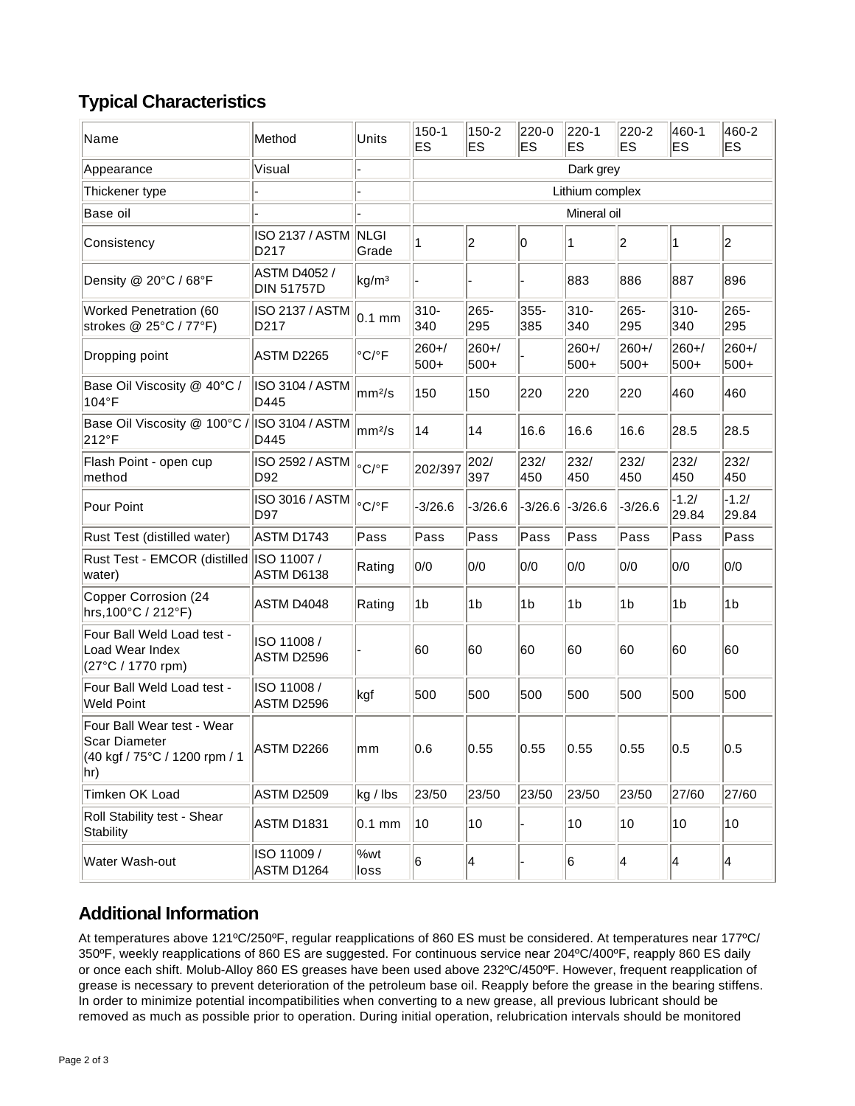# **Typical Characteristics**

| Name                                                                                 | Method                                      | Units                      | $150 - 1$<br>ES | $150 - 2$<br>ES | 220-0<br>ES    | 220-1<br>ES    | 220-2<br><b>ES</b> | 460-1<br>ES      | 460-2<br>ES      |
|--------------------------------------------------------------------------------------|---------------------------------------------|----------------------------|-----------------|-----------------|----------------|----------------|--------------------|------------------|------------------|
| Appearance                                                                           | Visual                                      |                            | Dark grey       |                 |                |                |                    |                  |                  |
| Thickener type                                                                       |                                             |                            | Lithium complex |                 |                |                |                    |                  |                  |
| Base oil                                                                             |                                             |                            | Mineral oil     |                 |                |                |                    |                  |                  |
| Consistency                                                                          | <b>ISO 2137 / ASTM</b><br>D <sub>2</sub> 17 | <b>NLGI</b><br>Grade       | 1               | 2               | 0              | 1              | 2                  | 1                | $ 2\rangle$      |
| Density @ 20°C / 68°F                                                                | <b>ASTM D4052 /</b><br><b>DIN 51757D</b>    | kg/m <sup>3</sup>          |                 |                 |                | 883            | 886                | 887              | 896              |
| Worked Penetration (60<br>strokes @ 25°C / 77°F)                                     | ISO 2137 / ASTM<br>D217                     | 0.1 mm                     | $310 -$<br>340  | 265-<br>295     | 355-<br>385    | 310-<br>340    | 265-<br>295        | $310 -$<br>340   | 265-<br>295      |
| Dropping point                                                                       | ASTM D2265                                  | $^{\circ}$ C/ $^{\circ}$ F | 260+/<br>500+   | 260+/<br>500+   |                | 260+/<br>500+  | 260+/<br>500+      | 260+/<br>500+    | 260+/<br>500+    |
| Base Oil Viscosity @ 40°C /<br>104°F                                                 | ISO 3104 / ASTM<br>D445                     | mm <sup>2</sup> /s         | 150             | 150             | 220            | 220            | 220                | 460              | 460              |
| Base Oil Viscosity @ 100°C /<br>212°F                                                | <b>ISO 3104 / ASTM</b><br>D445              | mm <sup>2</sup> /s         | 14              | 14              | 16.6           | 16.6           | 16.6               | 28.5             | 28.5             |
| Flash Point - open cup<br>method                                                     | ISO 2592 / ASTM<br>D92                      | °C/°F                      | 202/397         | 202/<br>397     | 232/<br>450    | 232/<br>450    | 232/<br>450        | 232/<br>450      | 232/<br>450      |
| Pour Point                                                                           | ISO 3016 / ASTM<br>D97                      | $^{\circ}$ C/ $^{\circ}$ F | $-3/26.6$       | $-3/26.6$       | $-3/26.6$      | $-3/26.6$      | $-3/26.6$          | $-1.2/$<br>29.84 | $-1.2/$<br>29.84 |
| Rust Test (distilled water)                                                          | ASTM D1743                                  | Pass                       | Pass            | Pass            | Pass           | Pass           | Pass               | Pass             | Pass             |
| Rust Test - EMCOR (distilled<br>water)                                               | ISO 11007 /<br>ASTM D6138                   | Rating                     | 0/0             | 0/0             | 0/0            | 0/0            | 0/0                | 0/0              | 0/0              |
| Copper Corrosion (24<br>hrs, 100°C / 212°F)                                          | ASTM D4048                                  | Rating                     | 1b              | 1 <sub>b</sub>  | 1 <sub>b</sub> | 1 <sub>b</sub> | 1b                 | 1b               | 1 <sub>b</sub>   |
| Four Ball Weld Load test -<br>Load Wear Index<br>(27°C / 1770 rpm)                   | ISO 11008 /<br>ASTM D2596                   |                            | 60              | 60              | 60             | 60             | 60                 | 60               | 60               |
| Four Ball Weld Load test -<br><b>Weld Point</b>                                      | ISO 11008 /<br>ASTM D2596                   | kgf                        | 500             | 500             | 500            | 500            | 500                | 500              | 500              |
| Four Ball Wear test - Wear<br>Scar Diameter<br>(40 kgf / 75°C / 1200 rpm / 1<br>∣hr) | ASTM D2266                                  | mm                         | 0.6             | 0.55            | 0.55           | 0.55           | 0.55               | U.5              | U.5              |
| Timken OK Load                                                                       | ASTM D2509                                  | kg / lbs                   | 23/50           | 23/50           | 23/50          | 23/50          | 23/50              | 27/60            | 27/60            |
| Roll Stability test - Shear<br>Stability                                             | ASTM D1831                                  | $0.1$ mm                   | 10              | 10              |                | 10             | 10                 | 10               | 10               |
| Water Wash-out                                                                       | ISO 11009 /<br>ASTM D1264                   | %wt<br>loss                | 6               | 4               |                | 6              | 4                  | 4                | 4                |

## **Additional Information**

At temperatures above 121ºC/250ºF, regular reapplications of 860 ES must be considered. At temperatures near 177ºC/ 350ºF, weekly reapplications of 860 ES are suggested. For continuous service near 204ºC/400ºF, reapply 860 ES daily or once each shift. Molub-Alloy 860 ES greases have been used above 232ºC/450ºF. However, frequent reapplication of grease is necessary to prevent deterioration of the petroleum base oil. Reapply before the grease in the bearing stiffens. In order to minimize potential incompatibilities when converting to a new grease, all previous lubricant should be removed as much as possible prior to operation. During initial operation, relubrication intervals should be monitored